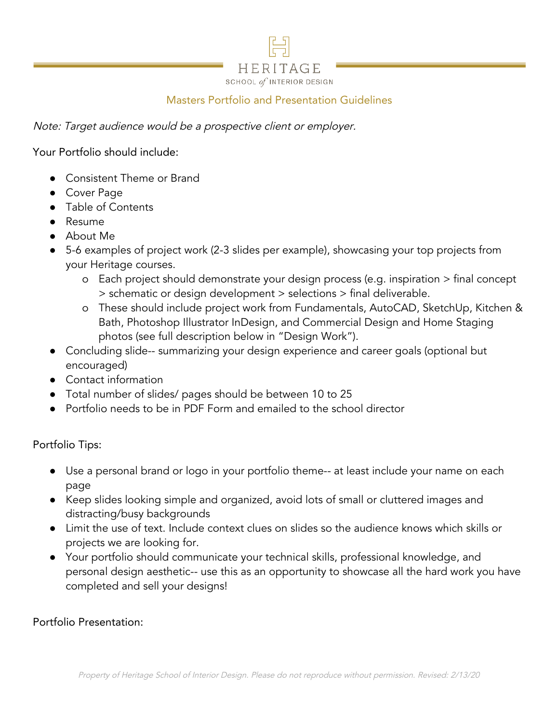

## Masters Portfolio and Presentation Guidelines

Note: Target audience would be a prospective client or employer.

Your Portfolio should include:

- Consistent Theme or Brand
- Cover Page
- Table of Contents
- Resume
- About Me
- 5-6 examples of project work (2-3 slides per example), showcasing your top projects from your Heritage courses.
	- o Each project should demonstrate your design process (e.g. inspiration > final concept > schematic or design development > selections > final deliverable.
	- o These should include project work from Fundamentals, AutoCAD, SketchUp, Kitchen & Bath, Photoshop Illustrator InDesign, and Commercial Design and Home Staging photos (see full description below in "Design Work").
- Concluding slide-- summarizing your design experience and career goals (optional but encouraged)
- Contact information
- Total number of slides/ pages should be between 10 to 25
- Portfolio needs to be in PDF Form and emailed to the school director

Portfolio Tips:

- Use a personal brand or logo in your portfolio theme-- at least include your name on each page
- Keep slides looking simple and organized, avoid lots of small or cluttered images and distracting/busy backgrounds
- Limit the use of text. Include context clues on slides so the audience knows which skills or projects we are looking for.
- Your portfolio should communicate your technical skills, professional knowledge, and personal design aesthetic-- use this as an opportunity to showcase all the hard work you have completed and sell your designs!

Portfolio Presentation: